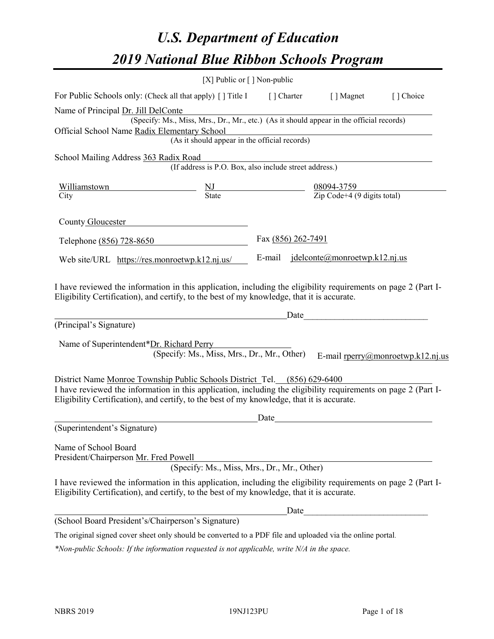# *U.S. Department of Education 2019 National Blue Ribbon Schools Program*

|                                                                                                                                                                                                              | [X] Public or $\lceil$ ] Non-public                                                      |                    |                                                         |                                   |
|--------------------------------------------------------------------------------------------------------------------------------------------------------------------------------------------------------------|------------------------------------------------------------------------------------------|--------------------|---------------------------------------------------------|-----------------------------------|
| For Public Schools only: (Check all that apply) [] Title I                                                                                                                                                   |                                                                                          | [ ] Charter        | [ ] Magnet                                              | [] Choice                         |
| Name of Principal Dr. Jill DelConte                                                                                                                                                                          |                                                                                          |                    |                                                         |                                   |
|                                                                                                                                                                                                              | (Specify: Ms., Miss, Mrs., Dr., Mr., etc.) (As it should appear in the official records) |                    |                                                         |                                   |
| Official School Name Radix Elementary School                                                                                                                                                                 | (As it should appear in the official records)                                            |                    |                                                         |                                   |
|                                                                                                                                                                                                              |                                                                                          |                    |                                                         |                                   |
| School Mailing Address 363 Radix Road                                                                                                                                                                        | (If address is P.O. Box, also include street address.)                                   |                    |                                                         |                                   |
| Williamstown                                                                                                                                                                                                 |                                                                                          |                    |                                                         |                                   |
| City                                                                                                                                                                                                         | $\frac{NJ}{State}$                                                                       |                    | $\frac{08094-3759}{\text{Zip Code}+4 (9 digits total)}$ |                                   |
| County Gloucester                                                                                                                                                                                            |                                                                                          |                    |                                                         |                                   |
| Telephone (856) 728-8650                                                                                                                                                                                     |                                                                                          | Fax (856) 262-7491 |                                                         |                                   |
| Web site/URL https://res.monroetwp.k12.nj.us/                                                                                                                                                                |                                                                                          | E-mail             | $j$ delconte@monroetwp.k12.nj.us                        |                                   |
| Eligibility Certification), and certify, to the best of my knowledge, that it is accurate.<br>(Principal's Signature)                                                                                        |                                                                                          | Date               | <u> 1980 - Jan Barat, martin a</u>                      |                                   |
|                                                                                                                                                                                                              |                                                                                          |                    |                                                         |                                   |
| Name of Superintendent*Dr. Richard Perry                                                                                                                                                                     |                                                                                          |                    |                                                         |                                   |
|                                                                                                                                                                                                              | (Specify: Ms., Miss, Mrs., Dr., Mr., Other)                                              |                    |                                                         | E-mail rperry@monroetwp.k12.nj.us |
| District Name Monroe Township Public Schools District Tel. (856) 629-6400                                                                                                                                    |                                                                                          |                    |                                                         |                                   |
| I have reviewed the information in this application, including the eligibility requirements on page 2 (Part I-<br>Eligibility Certification), and certify, to the best of my knowledge, that it is accurate. |                                                                                          |                    |                                                         |                                   |
|                                                                                                                                                                                                              |                                                                                          | Date               |                                                         |                                   |
| (Superintendent's Signature)                                                                                                                                                                                 |                                                                                          |                    |                                                         |                                   |
| Name of School Board<br>President/Chairperson Mr. Fred Powell                                                                                                                                                | (Specify: Ms., Miss, Mrs., Dr., Mr., Other)                                              |                    |                                                         |                                   |
|                                                                                                                                                                                                              |                                                                                          |                    |                                                         |                                   |
| I have reviewed the information in this application, including the eligibility requirements on page 2 (Part I-<br>Eligibility Certification), and certify, to the best of my knowledge, that it is accurate. |                                                                                          |                    |                                                         |                                   |
|                                                                                                                                                                                                              |                                                                                          | Date               |                                                         |                                   |
| (School Board President's/Chairperson's Signature)                                                                                                                                                           |                                                                                          |                    |                                                         |                                   |
| The original signed cover sheet only should be converted to a PDF file and uploaded via the online portal.                                                                                                   |                                                                                          |                    |                                                         |                                   |

*\*Non-public Schools: If the information requested is not applicable, write N/A in the space.*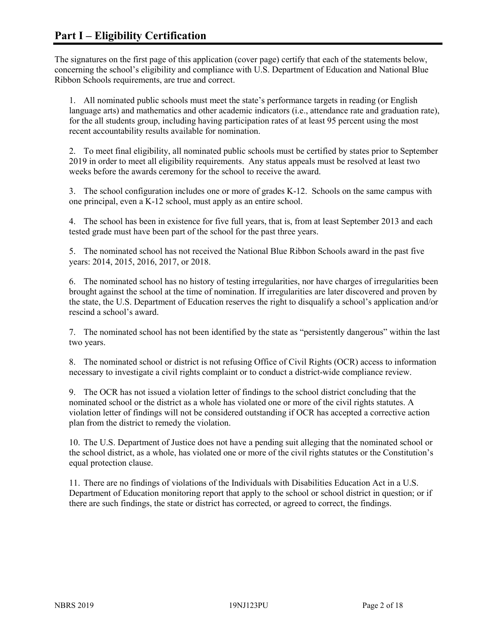The signatures on the first page of this application (cover page) certify that each of the statements below, concerning the school's eligibility and compliance with U.S. Department of Education and National Blue Ribbon Schools requirements, are true and correct.

1. All nominated public schools must meet the state's performance targets in reading (or English language arts) and mathematics and other academic indicators (i.e., attendance rate and graduation rate), for the all students group, including having participation rates of at least 95 percent using the most recent accountability results available for nomination.

2. To meet final eligibility, all nominated public schools must be certified by states prior to September 2019 in order to meet all eligibility requirements. Any status appeals must be resolved at least two weeks before the awards ceremony for the school to receive the award.

3. The school configuration includes one or more of grades K-12. Schools on the same campus with one principal, even a K-12 school, must apply as an entire school.

4. The school has been in existence for five full years, that is, from at least September 2013 and each tested grade must have been part of the school for the past three years.

5. The nominated school has not received the National Blue Ribbon Schools award in the past five years: 2014, 2015, 2016, 2017, or 2018.

6. The nominated school has no history of testing irregularities, nor have charges of irregularities been brought against the school at the time of nomination. If irregularities are later discovered and proven by the state, the U.S. Department of Education reserves the right to disqualify a school's application and/or rescind a school's award.

7. The nominated school has not been identified by the state as "persistently dangerous" within the last two years.

8. The nominated school or district is not refusing Office of Civil Rights (OCR) access to information necessary to investigate a civil rights complaint or to conduct a district-wide compliance review.

9. The OCR has not issued a violation letter of findings to the school district concluding that the nominated school or the district as a whole has violated one or more of the civil rights statutes. A violation letter of findings will not be considered outstanding if OCR has accepted a corrective action plan from the district to remedy the violation.

10. The U.S. Department of Justice does not have a pending suit alleging that the nominated school or the school district, as a whole, has violated one or more of the civil rights statutes or the Constitution's equal protection clause.

11. There are no findings of violations of the Individuals with Disabilities Education Act in a U.S. Department of Education monitoring report that apply to the school or school district in question; or if there are such findings, the state or district has corrected, or agreed to correct, the findings.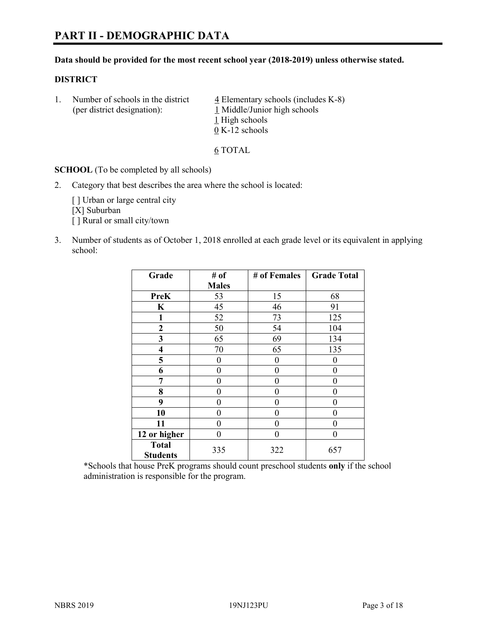# **PART II - DEMOGRAPHIC DATA**

#### **Data should be provided for the most recent school year (2018-2019) unless otherwise stated.**

#### **DISTRICT**

1. Number of schools in the district  $\frac{4}{5}$  Elementary schools (includes K-8) (per district designation): 1 Middle/Junior high schools 1 High schools 0 K-12 schools

6 TOTAL

**SCHOOL** (To be completed by all schools)

2. Category that best describes the area where the school is located:

[ ] Urban or large central city [X] Suburban [] Rural or small city/town

3. Number of students as of October 1, 2018 enrolled at each grade level or its equivalent in applying school:

| Grade                   | # of         | # of Females | <b>Grade Total</b> |
|-------------------------|--------------|--------------|--------------------|
|                         | <b>Males</b> |              |                    |
| PreK                    | 53           | 15           | 68                 |
| $\mathbf K$             | 45           | 46           | 91                 |
| 1                       | 52           | 73           | 125                |
| 2                       | 50           | 54           | 104                |
| 3                       | 65           | 69           | 134                |
| $\overline{\mathbf{4}}$ | 70           | 65           | 135                |
| 5                       | 0            | 0            | 0                  |
| 6                       | 0            | $\theta$     | 0                  |
| 7                       | 0            | 0            | 0                  |
| 8                       | 0            | 0            | 0                  |
| 9                       | 0            | 0            | 0                  |
| 10                      | 0            | 0            | 0                  |
| 11                      | 0            | 0            | 0                  |
| 12 or higher            | 0            | 0            | 0                  |
| <b>Total</b>            | 335          | 322          | 657                |
| <b>Students</b>         |              |              |                    |

\*Schools that house PreK programs should count preschool students **only** if the school administration is responsible for the program.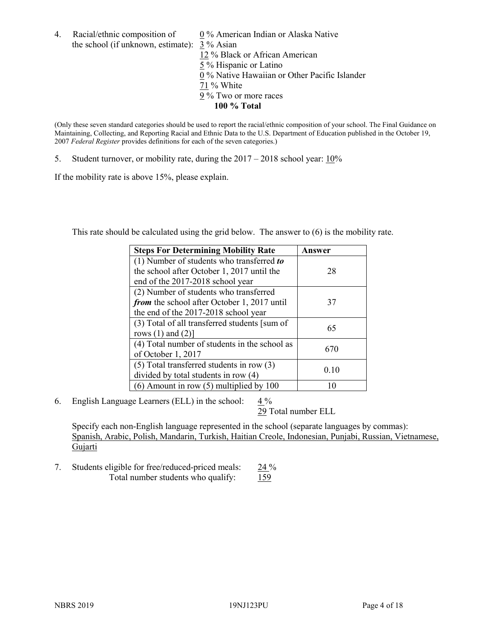4. Racial/ethnic composition of  $0\%$  American Indian or Alaska Native the school (if unknown, estimate): 3 % Asian 12 % Black or African American 5 % Hispanic or Latino 0 % Native Hawaiian or Other Pacific Islander 71 % White 9 % Two or more races

**100 % Total**

(Only these seven standard categories should be used to report the racial/ethnic composition of your school. The Final Guidance on Maintaining, Collecting, and Reporting Racial and Ethnic Data to the U.S. Department of Education published in the October 19, 2007 *Federal Register* provides definitions for each of the seven categories.)

5. Student turnover, or mobility rate, during the 2017 – 2018 school year: 10%

If the mobility rate is above 15%, please explain.

This rate should be calculated using the grid below. The answer to (6) is the mobility rate.

| <b>Steps For Determining Mobility Rate</b>    | Answer |
|-----------------------------------------------|--------|
| (1) Number of students who transferred to     |        |
| the school after October 1, 2017 until the    | 28     |
| end of the 2017-2018 school year              |        |
| (2) Number of students who transferred        |        |
| from the school after October 1, 2017 until   | 37     |
| the end of the 2017-2018 school year          |        |
| (3) Total of all transferred students [sum of | 65     |
| rows $(1)$ and $(2)$ ]                        |        |
| (4) Total number of students in the school as | 670    |
| of October 1, 2017                            |        |
| $(5)$ Total transferred students in row $(3)$ |        |
| divided by total students in row (4)          | 0.10   |
| $(6)$ Amount in row $(5)$ multiplied by 100   |        |

6. English Language Learners (ELL) in the school:  $4\%$ 

29 Total number ELL

Specify each non-English language represented in the school (separate languages by commas): Spanish, Arabic, Polish, Mandarin, Turkish, Haitian Creole, Indonesian, Punjabi, Russian, Vietnamese, **Gujarti** 

7. Students eligible for free/reduced-priced meals: 24 % Total number students who qualify: 159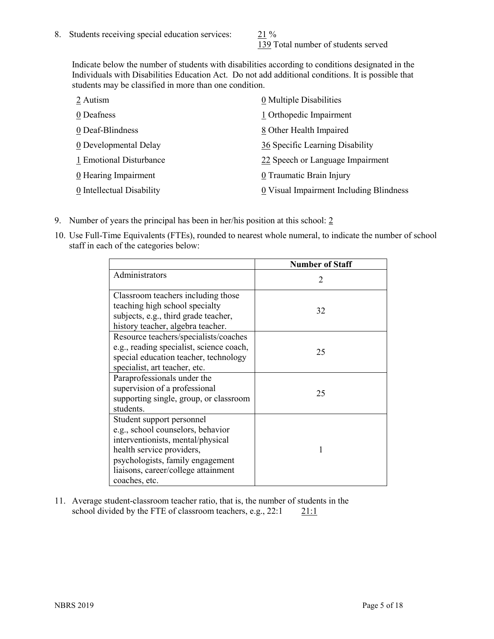139 Total number of students served

Indicate below the number of students with disabilities according to conditions designated in the Individuals with Disabilities Education Act. Do not add additional conditions. It is possible that students may be classified in more than one condition.

| 2 Autism                  | 0 Multiple Disabilities                 |
|---------------------------|-----------------------------------------|
| 0 Deafness                | 1 Orthopedic Impairment                 |
| 0 Deaf-Blindness          | 8 Other Health Impaired                 |
| 0 Developmental Delay     | 36 Specific Learning Disability         |
| 1 Emotional Disturbance   | 22 Speech or Language Impairment        |
| 0 Hearing Impairment      | 0 Traumatic Brain Injury                |
| 0 Intellectual Disability | 0 Visual Impairment Including Blindness |

- 9. Number of years the principal has been in her/his position at this school: 2
- 10. Use Full-Time Equivalents (FTEs), rounded to nearest whole numeral, to indicate the number of school staff in each of the categories below:

|                                                                                                                                                                                                                              | <b>Number of Staff</b>      |
|------------------------------------------------------------------------------------------------------------------------------------------------------------------------------------------------------------------------------|-----------------------------|
| Administrators                                                                                                                                                                                                               | $\mathcal{D}_{\mathcal{L}}$ |
| Classroom teachers including those<br>teaching high school specialty<br>subjects, e.g., third grade teacher,<br>history teacher, algebra teacher.                                                                            | 32                          |
| Resource teachers/specialists/coaches<br>e.g., reading specialist, science coach,<br>special education teacher, technology<br>specialist, art teacher, etc.                                                                  | 25                          |
| Paraprofessionals under the<br>supervision of a professional<br>supporting single, group, or classroom<br>students.                                                                                                          | 25                          |
| Student support personnel<br>e.g., school counselors, behavior<br>interventionists, mental/physical<br>health service providers,<br>psychologists, family engagement<br>liaisons, career/college attainment<br>coaches, etc. | 1                           |

11. Average student-classroom teacher ratio, that is, the number of students in the school divided by the FTE of classroom teachers, e.g.,  $22:1$  21:1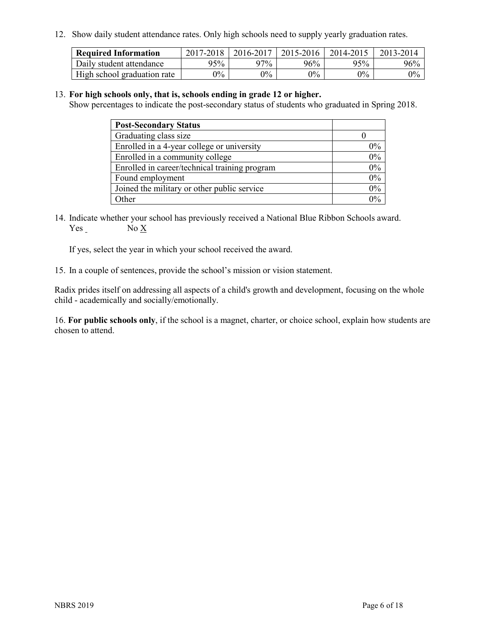12. Show daily student attendance rates. Only high schools need to supply yearly graduation rates.

| <b>Required Information</b> | 2017-2018 | 2016-2017 | 2015-2016 | 2014-2015 | 2013-2014 |
|-----------------------------|-----------|-----------|-----------|-----------|-----------|
| Daily student attendance    | 95%       | 97%       | $96\%$    | 95%       | 96%       |
| High school graduation rate | $0\%$     | $0\%$     | $0\%$     | $9\%$     | $0\%$     |

#### 13. **For high schools only, that is, schools ending in grade 12 or higher.**

Show percentages to indicate the post-secondary status of students who graduated in Spring 2018.

| <b>Post-Secondary Status</b>                  |       |
|-----------------------------------------------|-------|
| Graduating class size                         |       |
| Enrolled in a 4-year college or university    | $0\%$ |
| Enrolled in a community college               | 0%    |
| Enrolled in career/technical training program | 0%    |
| Found employment                              | 0%    |
| Joined the military or other public service   | 0%    |
| Other                                         | በ%    |

14. Indicate whether your school has previously received a National Blue Ribbon Schools award. Yes No X

If yes, select the year in which your school received the award.

15. In a couple of sentences, provide the school's mission or vision statement.

Radix prides itself on addressing all aspects of a child's growth and development, focusing on the whole child - academically and socially/emotionally.

16. **For public schools only**, if the school is a magnet, charter, or choice school, explain how students are chosen to attend.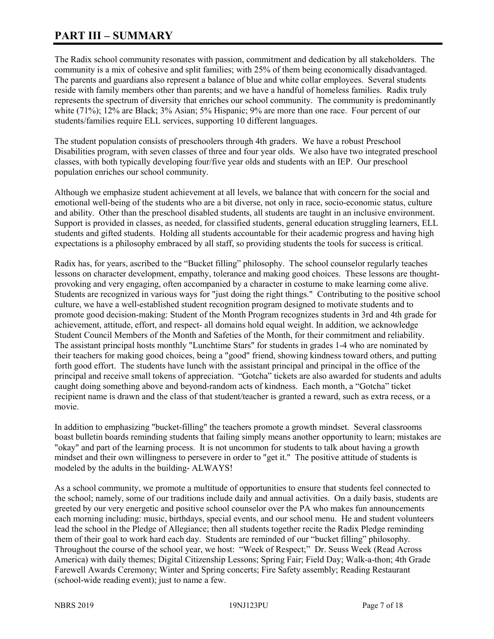# **PART III – SUMMARY**

The Radix school community resonates with passion, commitment and dedication by all stakeholders. The community is a mix of cohesive and split families; with 25% of them being economically disadvantaged. The parents and guardians also represent a balance of blue and white collar employees. Several students reside with family members other than parents; and we have a handful of homeless families. Radix truly represents the spectrum of diversity that enriches our school community. The community is predominantly white (71%); 12% are Black; 3% Asian; 5% Hispanic; 9% are more than one race. Four percent of our students/families require ELL services, supporting 10 different languages.

The student population consists of preschoolers through 4th graders. We have a robust Preschool Disabilities program, with seven classes of three and four year olds. We also have two integrated preschool classes, with both typically developing four/five year olds and students with an IEP. Our preschool population enriches our school community.

Although we emphasize student achievement at all levels, we balance that with concern for the social and emotional well-being of the students who are a bit diverse, not only in race, socio-economic status, culture and ability. Other than the preschool disabled students, all students are taught in an inclusive environment. Support is provided in classes, as needed, for classified students, general education struggling learners, ELL students and gifted students. Holding all students accountable for their academic progress and having high expectations is a philosophy embraced by all staff, so providing students the tools for success is critical.

Radix has, for years, ascribed to the "Bucket filling" philosophy. The school counselor regularly teaches lessons on character development, empathy, tolerance and making good choices. These lessons are thoughtprovoking and very engaging, often accompanied by a character in costume to make learning come alive. Students are recognized in various ways for "just doing the right things." Contributing to the positive school culture, we have a well-established student recognition program designed to motivate students and to promote good decision-making: Student of the Month Program recognizes students in 3rd and 4th grade for achievement, attitude, effort, and respect- all domains hold equal weight. In addition, we acknowledge Student Council Members of the Month and Safeties of the Month, for their commitment and reliability. The assistant principal hosts monthly "Lunchtime Stars" for students in grades 1-4 who are nominated by their teachers for making good choices, being a "good" friend, showing kindness toward others, and putting forth good effort. The students have lunch with the assistant principal and principal in the office of the principal and receive small tokens of appreciation. "Gotcha" tickets are also awarded for students and adults caught doing something above and beyond-random acts of kindness. Each month, a "Gotcha" ticket recipient name is drawn and the class of that student/teacher is granted a reward, such as extra recess, or a movie.

In addition to emphasizing "bucket-filling" the teachers promote a growth mindset. Several classrooms boast bulletin boards reminding students that failing simply means another opportunity to learn; mistakes are "okay" and part of the learning process. It is not uncommon for students to talk about having a growth mindset and their own willingness to persevere in order to "get it." The positive attitude of students is modeled by the adults in the building- ALWAYS!

As a school community, we promote a multitude of opportunities to ensure that students feel connected to the school; namely, some of our traditions include daily and annual activities. On a daily basis, students are greeted by our very energetic and positive school counselor over the PA who makes fun announcements each morning including: music, birthdays, special events, and our school menu. He and student volunteers lead the school in the Pledge of Allegiance; then all students together recite the Radix Pledge reminding them of their goal to work hard each day. Students are reminded of our "bucket filling" philosophy. Throughout the course of the school year, we host: "Week of Respect;" Dr. Seuss Week (Read Across America) with daily themes; Digital Citizenship Lessons; Spring Fair; Field Day; Walk-a-thon; 4th Grade Farewell Awards Ceremony; Winter and Spring concerts; Fire Safety assembly; Reading Restaurant (school-wide reading event); just to name a few.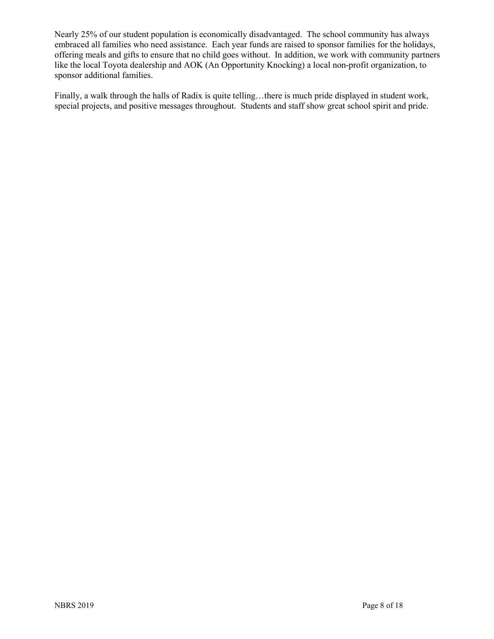Nearly 25% of our student population is economically disadvantaged. The school community has always embraced all families who need assistance. Each year funds are raised to sponsor families for the holidays, offering meals and gifts to ensure that no child goes without. In addition, we work with community partners like the local Toyota dealership and AOK (An Opportunity Knocking) a local non-profit organization, to sponsor additional families.

Finally, a walk through the halls of Radix is quite telling…there is much pride displayed in student work, special projects, and positive messages throughout. Students and staff show great school spirit and pride.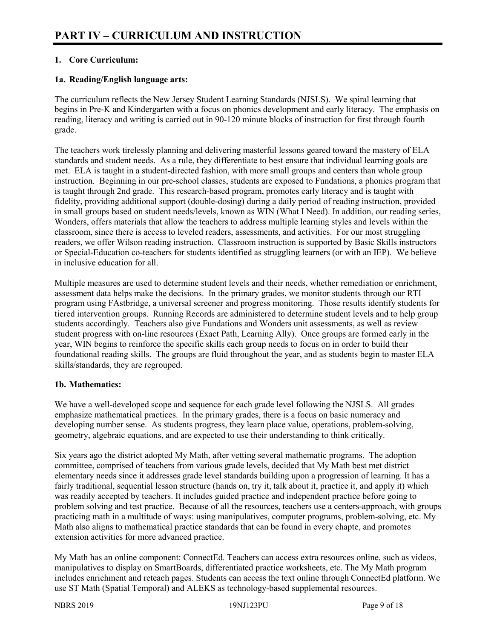# **1. Core Curriculum:**

# **1a. Reading/English language arts:**

The curriculum reflects the New Jersey Student Learning Standards (NJSLS). We spiral learning that begins in Pre-K and Kindergarten with a focus on phonics development and early literacy. The emphasis on reading, literacy and writing is carried out in 90-120 minute blocks of instruction for first through fourth grade.

The teachers work tirelessly planning and delivering masterful lessons geared toward the mastery of ELA standards and student needs. As a rule, they differentiate to best ensure that individual learning goals are met. ELA is taught in a student-directed fashion, with more small groups and centers than whole group instruction. Beginning in our pre-school classes, students are exposed to Fundations, a phonics program that is taught through 2nd grade. This research-based program, promotes early literacy and is taught with fidelity, providing additional support (double-dosing) during a daily period of reading instruction, provided in small groups based on student needs/levels, known as WIN (What I Need). In addition, our reading series, Wonders, offers materials that allow the teachers to address multiple learning styles and levels within the classroom, since there is access to leveled readers, assessments, and activities. For our most struggling readers, we offer Wilson reading instruction. Classroom instruction is supported by Basic Skills instructors or Special-Education co-teachers for students identified as struggling learners (or with an IEP). We believe in inclusive education for all.

Multiple measures are used to determine student levels and their needs, whether remediation or enrichment, assessment data helps make the decisions. In the primary grades, we monitor students through our RTI program using FAstbridge, a universal screener and progress monitoring. Those results identify students for tiered intervention groups. Running Records are administered to determine student levels and to help group students accordingly. Teachers also give Fundations and Wonders unit assessments, as well as review student progress with on-line resources (Exact Path, Learning Ally). Once groups are formed early in the year, WIN begins to reinforce the specific skills each group needs to focus on in order to build their foundational reading skills. The groups are fluid throughout the year, and as students begin to master ELA skills/standards, they are regrouped.

#### **1b. Mathematics:**

We have a well-developed scope and sequence for each grade level following the NJSLS. All grades emphasize mathematical practices. In the primary grades, there is a focus on basic numeracy and developing number sense. As students progress, they learn place value, operations, problem-solving, geometry, algebraic equations, and are expected to use their understanding to think critically.

Six years ago the district adopted My Math, after vetting several mathematic programs. The adoption committee, comprised of teachers from various grade levels, decided that My Math best met district elementary needs since it addresses grade level standards building upon a progression of learning. It has a fairly traditional, sequential lesson structure (hands on, try it, talk about it, practice it, and apply it) which was readily accepted by teachers. It includes guided practice and independent practice before going to problem solving and test practice. Because of all the resources, teachers use a centers-approach, with groups practicing math in a multitude of ways: using manipulatives, computer programs, problem-solving, etc. My Math also aligns to mathematical practice standards that can be found in every chapte, and promotes extension activities for more advanced practice.

My Math has an online component: ConnectEd. Teachers can access extra resources online, such as videos, manipulatives to display on SmartBoards, differentiated practice worksheets, etc. The My Math program includes enrichment and reteach pages. Students can access the text online through ConnectEd platform. We use ST Math (Spatial Temporal) and ALEKS as technology-based supplemental resources.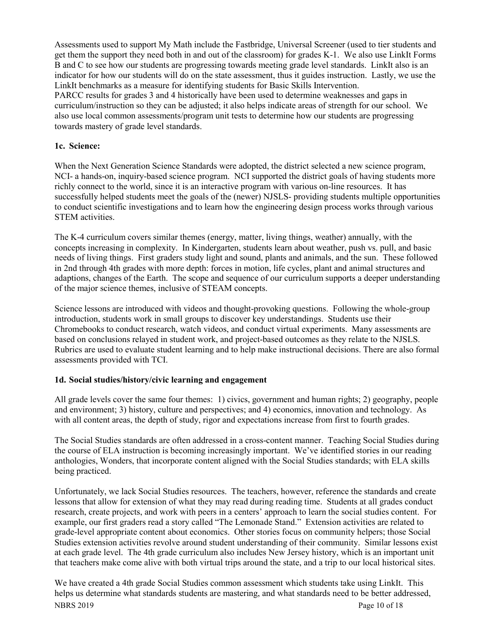Assessments used to support My Math include the Fastbridge, Universal Screener (used to tier students and get them the support they need both in and out of the classroom) for grades K-1. We also use LinkIt Forms B and C to see how our students are progressing towards meeting grade level standards. LinkIt also is an indicator for how our students will do on the state assessment, thus it guides instruction. Lastly, we use the LinkIt benchmarks as a measure for identifying students for Basic Skills Intervention.

PARCC results for grades 3 and 4 historically have been used to determine weaknesses and gaps in curriculum/instruction so they can be adjusted; it also helps indicate areas of strength for our school. We also use local common assessments/program unit tests to determine how our students are progressing towards mastery of grade level standards.

## **1c. Science:**

When the Next Generation Science Standards were adopted, the district selected a new science program, NCI- a hands-on, inquiry-based science program. NCI supported the district goals of having students more richly connect to the world, since it is an interactive program with various on-line resources. It has successfully helped students meet the goals of the (newer) NJSLS- providing students multiple opportunities to conduct scientific investigations and to learn how the engineering design process works through various STEM activities.

The K-4 curriculum covers similar themes (energy, matter, living things, weather) annually, with the concepts increasing in complexity. In Kindergarten, students learn about weather, push vs. pull, and basic needs of living things. First graders study light and sound, plants and animals, and the sun. These followed in 2nd through 4th grades with more depth: forces in motion, life cycles, plant and animal structures and adaptions, changes of the Earth. The scope and sequence of our curriculum supports a deeper understanding of the major science themes, inclusive of STEAM concepts.

Science lessons are introduced with videos and thought-provoking questions. Following the whole-group introduction, students work in small groups to discover key understandings. Students use their Chromebooks to conduct research, watch videos, and conduct virtual experiments. Many assessments are based on conclusions relayed in student work, and project-based outcomes as they relate to the NJSLS. Rubrics are used to evaluate student learning and to help make instructional decisions. There are also formal assessments provided with TCI.

# **1d. Social studies/history/civic learning and engagement**

All grade levels cover the same four themes: 1) civics, government and human rights; 2) geography, people and environment; 3) history, culture and perspectives; and 4) economics, innovation and technology. As with all content areas, the depth of study, rigor and expectations increase from first to fourth grades.

The Social Studies standards are often addressed in a cross-content manner. Teaching Social Studies during the course of ELA instruction is becoming increasingly important. We've identified stories in our reading anthologies, Wonders, that incorporate content aligned with the Social Studies standards; with ELA skills being practiced.

Unfortunately, we lack Social Studies resources. The teachers, however, reference the standards and create lessons that allow for extension of what they may read during reading time. Students at all grades conduct research, create projects, and work with peers in a centers' approach to learn the social studies content. For example, our first graders read a story called "The Lemonade Stand." Extension activities are related to grade-level appropriate content about economics. Other stories focus on community helpers; those Social Studies extension activities revolve around student understanding of their community. Similar lessons exist at each grade level. The 4th grade curriculum also includes New Jersey history, which is an important unit that teachers make come alive with both virtual trips around the state, and a trip to our local historical sites.

NBRS 2019 Page 10 of 18 We have created a 4th grade Social Studies common assessment which students take using LinkIt. This helps us determine what standards students are mastering, and what standards need to be better addressed,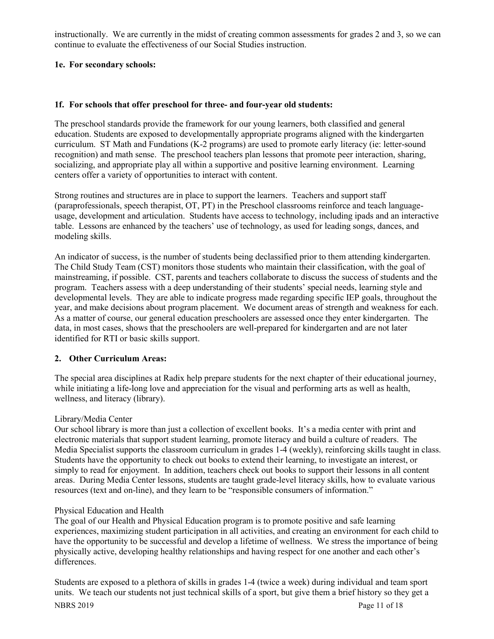instructionally. We are currently in the midst of creating common assessments for grades 2 and 3, so we can continue to evaluate the effectiveness of our Social Studies instruction.

# **1e. For secondary schools:**

## **1f. For schools that offer preschool for three- and four-year old students:**

The preschool standards provide the framework for our young learners, both classified and general education. Students are exposed to developmentally appropriate programs aligned with the kindergarten curriculum. ST Math and Fundations (K-2 programs) are used to promote early literacy (ie: letter-sound recognition) and math sense. The preschool teachers plan lessons that promote peer interaction, sharing, socializing, and appropriate play all within a supportive and positive learning environment. Learning centers offer a variety of opportunities to interact with content.

Strong routines and structures are in place to support the learners. Teachers and support staff (paraprofessionals, speech therapist, OT, PT) in the Preschool classrooms reinforce and teach languageusage, development and articulation. Students have access to technology, including ipads and an interactive table. Lessons are enhanced by the teachers' use of technology, as used for leading songs, dances, and modeling skills.

An indicator of success, is the number of students being declassified prior to them attending kindergarten. The Child Study Team (CST) monitors those students who maintain their classification, with the goal of mainstreaming, if possible. CST, parents and teachers collaborate to discuss the success of students and the program. Teachers assess with a deep understanding of their students' special needs, learning style and developmental levels. They are able to indicate progress made regarding specific IEP goals, throughout the year, and make decisions about program placement. We document areas of strength and weakness for each. As a matter of course, our general education preschoolers are assessed once they enter kindergarten. The data, in most cases, shows that the preschoolers are well-prepared for kindergarten and are not later identified for RTI or basic skills support.

#### **2. Other Curriculum Areas:**

The special area disciplines at Radix help prepare students for the next chapter of their educational journey, while initiating a life-long love and appreciation for the visual and performing arts as well as health, wellness, and literacy (library).

#### Library/Media Center

Our school library is more than just a collection of excellent books. It's a media center with print and electronic materials that support student learning, promote literacy and build a culture of readers. The Media Specialist supports the classroom curriculum in grades 1-4 (weekly), reinforcing skills taught in class. Students have the opportunity to check out books to extend their learning, to investigate an interest, or simply to read for enjoyment. In addition, teachers check out books to support their lessons in all content areas. During Media Center lessons, students are taught grade-level literacy skills, how to evaluate various resources (text and on-line), and they learn to be "responsible consumers of information."

#### Physical Education and Health

The goal of our Health and Physical Education program is to promote positive and safe learning experiences, maximizing student participation in all activities, and creating an environment for each child to have the opportunity to be successful and develop a lifetime of wellness. We stress the importance of being physically active, developing healthy relationships and having respect for one another and each other's differences.

Students are exposed to a plethora of skills in grades 1-4 (twice a week) during individual and team sport units. We teach our students not just technical skills of a sport, but give them a brief history so they get a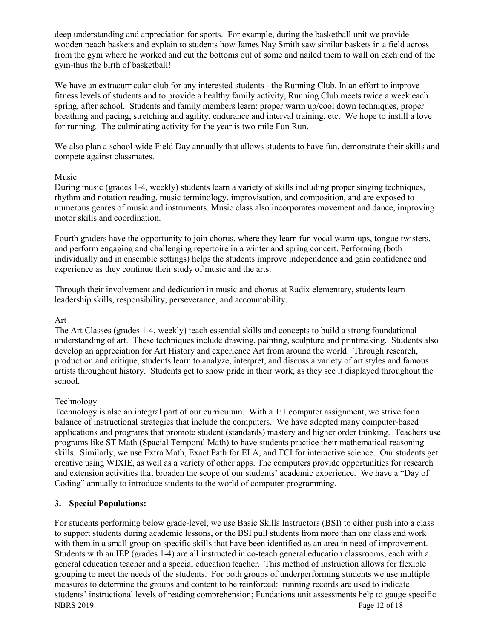deep understanding and appreciation for sports. For example, during the basketball unit we provide wooden peach baskets and explain to students how James Nay Smith saw similar baskets in a field across from the gym where he worked and cut the bottoms out of some and nailed them to wall on each end of the gym-thus the birth of basketball!

We have an extracurricular club for any interested students - the Running Club. In an effort to improve fitness levels of students and to provide a healthy family activity, Running Club meets twice a week each spring, after school. Students and family members learn: proper warm up/cool down techniques, proper breathing and pacing, stretching and agility, endurance and interval training, etc. We hope to instill a love for running. The culminating activity for the year is two mile Fun Run.

We also plan a school-wide Field Day annually that allows students to have fun, demonstrate their skills and compete against classmates.

#### Music

During music (grades 1-4, weekly) students learn a variety of skills including proper singing techniques, rhythm and notation reading, music terminology, improvisation, and composition, and are exposed to numerous genres of music and instruments. Music class also incorporates movement and dance, improving motor skills and coordination.

Fourth graders have the opportunity to join chorus, where they learn fun vocal warm-ups, tongue twisters, and perform engaging and challenging repertoire in a winter and spring concert. Performing (both individually and in ensemble settings) helps the students improve independence and gain confidence and experience as they continue their study of music and the arts.

Through their involvement and dedication in music and chorus at Radix elementary, students learn leadership skills, responsibility, perseverance, and accountability.

# Art

The Art Classes (grades 1-4, weekly) teach essential skills and concepts to build a strong foundational understanding of art. These techniques include drawing, painting, sculpture and printmaking. Students also develop an appreciation for Art History and experience Art from around the world. Through research, production and critique, students learn to analyze, interpret, and discuss a variety of art styles and famous artists throughout history. Students get to show pride in their work, as they see it displayed throughout the school.

# Technology

Technology is also an integral part of our curriculum. With a 1:1 computer assignment, we strive for a balance of instructional strategies that include the computers. We have adopted many computer-based applications and programs that promote student (standards) mastery and higher order thinking. Teachers use programs like ST Math (Spacial Temporal Math) to have students practice their mathematical reasoning skills. Similarly, we use Extra Math, Exact Path for ELA, and TCI for interactive science. Our students get creative using WIXIE, as well as a variety of other apps. The computers provide opportunities for research and extension activities that broaden the scope of our students' academic experience. We have a "Day of Coding" annually to introduce students to the world of computer programming.

#### **3. Special Populations:**

NBRS 2019 Page 12 of 18 For students performing below grade-level, we use Basic Skills Instructors (BSI) to either push into a class to support students during academic lessons, or the BSI pull students from more than one class and work with them in a small group on specific skills that have been identified as an area in need of improvement. Students with an IEP (grades 1-4) are all instructed in co-teach general education classrooms, each with a general education teacher and a special education teacher. This method of instruction allows for flexible grouping to meet the needs of the students. For both groups of underperforming students we use multiple measures to determine the groups and content to be reinforced: running records are used to indicate students' instructional levels of reading comprehension; Fundations unit assessments help to gauge specific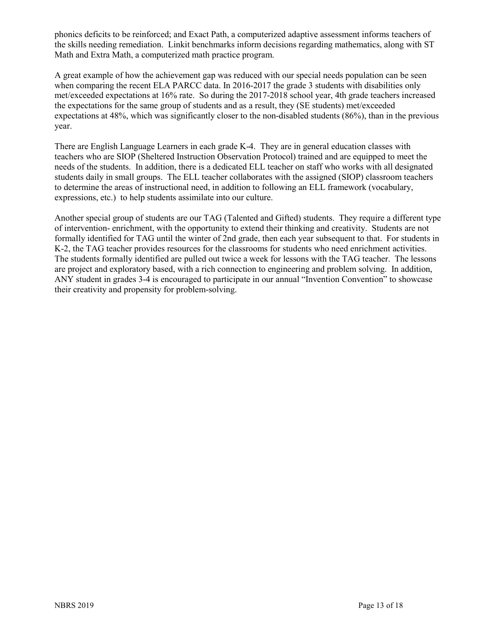phonics deficits to be reinforced; and Exact Path, a computerized adaptive assessment informs teachers of the skills needing remediation. Linkit benchmarks inform decisions regarding mathematics, along with ST Math and Extra Math, a computerized math practice program.

A great example of how the achievement gap was reduced with our special needs population can be seen when comparing the recent ELA PARCC data. In 2016-2017 the grade 3 students with disabilities only met/exceeded expectations at 16% rate. So during the 2017-2018 school year, 4th grade teachers increased the expectations for the same group of students and as a result, they (SE students) met/exceeded expectations at 48%, which was significantly closer to the non-disabled students (86%), than in the previous year.

There are English Language Learners in each grade K-4. They are in general education classes with teachers who are SIOP (Sheltered Instruction Observation Protocol) trained and are equipped to meet the needs of the students. In addition, there is a dedicated ELL teacher on staff who works with all designated students daily in small groups. The ELL teacher collaborates with the assigned (SIOP) classroom teachers to determine the areas of instructional need, in addition to following an ELL framework (vocabulary, expressions, etc.) to help students assimilate into our culture.

Another special group of students are our TAG (Talented and Gifted) students. They require a different type of intervention- enrichment, with the opportunity to extend their thinking and creativity. Students are not formally identified for TAG until the winter of 2nd grade, then each year subsequent to that. For students in K-2, the TAG teacher provides resources for the classrooms for students who need enrichment activities. The students formally identified are pulled out twice a week for lessons with the TAG teacher. The lessons are project and exploratory based, with a rich connection to engineering and problem solving. In addition, ANY student in grades 3-4 is encouraged to participate in our annual "Invention Convention" to showcase their creativity and propensity for problem-solving.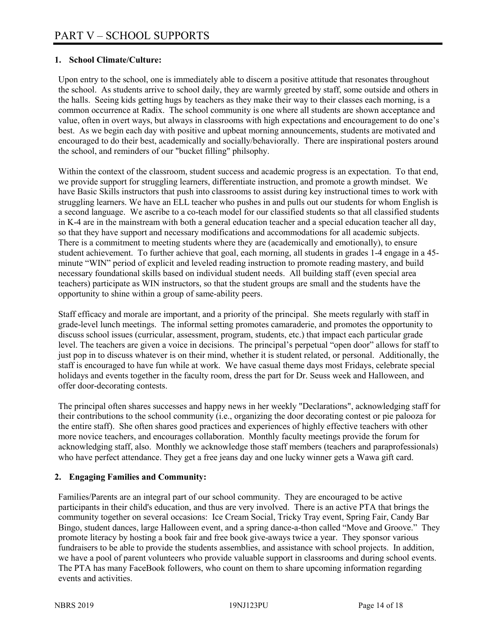# **1. School Climate/Culture:**

Upon entry to the school, one is immediately able to discern a positive attitude that resonates throughout the school. As students arrive to school daily, they are warmly greeted by staff, some outside and others in the halls. Seeing kids getting hugs by teachers as they make their way to their classes each morning, is a common occurrence at Radix. The school community is one where all students are shown acceptance and value, often in overt ways, but always in classrooms with high expectations and encouragement to do one's best. As we begin each day with positive and upbeat morning announcements, students are motivated and encouraged to do their best, academically and socially/behaviorally. There are inspirational posters around the school, and reminders of our "bucket filling" philsophy.

Within the context of the classroom, student success and academic progress is an expectation. To that end, we provide support for struggling learners, differentiate instruction, and promote a growth mindset. We have Basic Skills instructors that push into classrooms to assist during key instructional times to work with struggling learners. We have an ELL teacher who pushes in and pulls out our students for whom English is a second language. We ascribe to a co-teach model for our classified students so that all classified students in K-4 are in the mainstream with both a general education teacher and a special education teacher all day, so that they have support and necessary modifications and accommodations for all academic subjects. There is a commitment to meeting students where they are (academically and emotionally), to ensure student achievement. To further achieve that goal, each morning, all students in grades 1-4 engage in a 45 minute "WIN" period of explicit and leveled reading instruction to promote reading mastery, and build necessary foundational skills based on individual student needs. All building staff (even special area teachers) participate as WIN instructors, so that the student groups are small and the students have the opportunity to shine within a group of same-ability peers.

Staff efficacy and morale are important, and a priority of the principal. She meets regularly with staff in grade-level lunch meetings. The informal setting promotes camaraderie, and promotes the opportunity to discuss school issues (curricular, assessment, program, students, etc.) that impact each particular grade level. The teachers are given a voice in decisions. The principal's perpetual "open door" allows for staff to just pop in to discuss whatever is on their mind, whether it is student related, or personal. Additionally, the staff is encouraged to have fun while at work. We have casual theme days most Fridays, celebrate special holidays and events together in the faculty room, dress the part for Dr. Seuss week and Halloween, and offer door-decorating contests.

The principal often shares successes and happy news in her weekly "Declarations", acknowledging staff for their contributions to the school community (i.e., organizing the door decorating contest or pie palooza for the entire staff). She often shares good practices and experiences of highly effective teachers with other more novice teachers, and encourages collaboration. Monthly faculty meetings provide the forum for acknowledging staff, also. Monthly we acknowledge those staff members (teachers and paraprofessionals) who have perfect attendance. They get a free jeans day and one lucky winner gets a Wawa gift card.

# **2. Engaging Families and Community:**

Families/Parents are an integral part of our school community. They are encouraged to be active participants in their child's education, and thus are very involved. There is an active PTA that brings the community together on several occasions: Ice Cream Social, Tricky Tray event, Spring Fair, Candy Bar Bingo, student dances, large Halloween event, and a spring dance-a-thon called "Move and Groove." They promote literacy by hosting a book fair and free book give-aways twice a year. They sponsor various fundraisers to be able to provide the students assemblies, and assistance with school projects. In addition, we have a pool of parent volunteers who provide valuable support in classrooms and during school events. The PTA has many FaceBook followers, who count on them to share upcoming information regarding events and activities.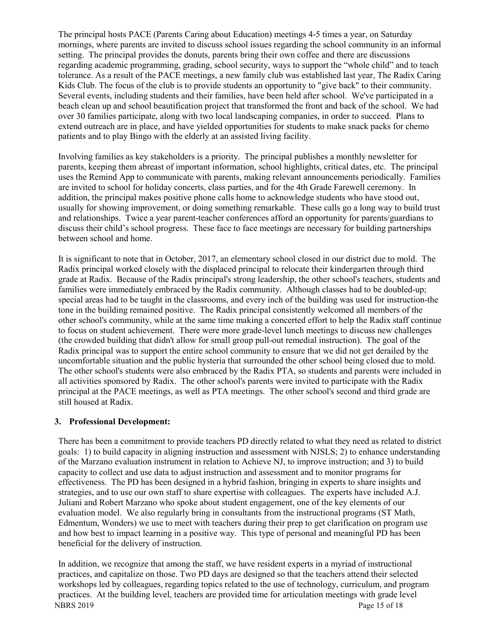The principal hosts PACE (Parents Caring about Education) meetings 4-5 times a year, on Saturday mornings, where parents are invited to discuss school issues regarding the school community in an informal setting. The principal provides the donuts, parents bring their own coffee and there are discussions regarding academic programming, grading, school security, ways to support the "whole child" and to teach tolerance. As a result of the PACE meetings, a new family club was established last year, The Radix Caring Kids Club. The focus of the club is to provide students an opportunity to "give back" to their community. Several events, including students and their families, have been held after school. We've participated in a beach clean up and school beautification project that transformed the front and back of the school. We had over 30 families participate, along with two local landscaping companies, in order to succeed. Plans to extend outreach are in place, and have yielded opportunities for students to make snack packs for chemo patients and to play Bingo with the elderly at an assisted living facility.

Involving families as key stakeholders is a priority. The principal publishes a monthly newsletter for parents, keeping them abreast of important information, school highlights, critical dates, etc. The principal uses the Remind App to communicate with parents, making relevant announcements periodically. Families are invited to school for holiday concerts, class parties, and for the 4th Grade Farewell ceremony. In addition, the principal makes positive phone calls home to acknowledge students who have stood out, usually for showing improvement, or doing something remarkable. These calls go a long way to build trust and relationships. Twice a year parent-teacher conferences afford an opportunity for parents/guardians to discuss their child's school progress. These face to face meetings are necessary for building partnerships between school and home.

It is significant to note that in October, 2017, an elementary school closed in our district due to mold. The Radix principal worked closely with the displaced principal to relocate their kindergarten through third grade at Radix. Because of the Radix principal's strong leadership, the other school's teachers, students and families were immediately embraced by the Radix community. Although classes had to be doubled-up; special areas had to be taught in the classrooms, and every inch of the building was used for instruction-the tone in the building remained positive. The Radix principal consistently welcomed all members of the other school's community, while at the same time making a concerted effort to help the Radix staff continue to focus on student achievement. There were more grade-level lunch meetings to discuss new challenges (the crowded building that didn't allow for small group pull-out remedial instruction). The goal of the Radix principal was to support the entire school community to ensure that we did not get derailed by the uncomfortable situation and the public hysteria that surrounded the other school being closed due to mold. The other school's students were also embraced by the Radix PTA, so students and parents were included in all activities sponsored by Radix. The other school's parents were invited to participate with the Radix principal at the PACE meetings, as well as PTA meetings. The other school's second and third grade are still housed at Radix.

#### **3. Professional Development:**

There has been a commitment to provide teachers PD directly related to what they need as related to district goals: 1) to build capacity in aligning instruction and assessment with NJSLS; 2) to enhance understanding of the Marzano evaluation instrument in relation to Achieve NJ, to improve instruction; and 3) to build capacity to collect and use data to adjust instruction and assessment and to monitor programs for effectiveness. The PD has been designed in a hybrid fashion, bringing in experts to share insights and strategies, and to use our own staff to share expertise with colleagues. The experts have included A.J. Juliani and Robert Marzano who spoke about student engagement, one of the key elements of our evaluation model. We also regularly bring in consultants from the instructional programs (ST Math, Edmentum, Wonders) we use to meet with teachers during their prep to get clarification on program use and how best to impact learning in a positive way. This type of personal and meaningful PD has been beneficial for the delivery of instruction.

NBRS 2019 Page 15 of 18 In addition, we recognize that among the staff, we have resident experts in a myriad of instructional practices, and capitalize on those. Two PD days are designed so that the teachers attend their selected workshops led by colleagues, regarding topics related to the use of technology, curriculum, and program practices. At the building level, teachers are provided time for articulation meetings with grade level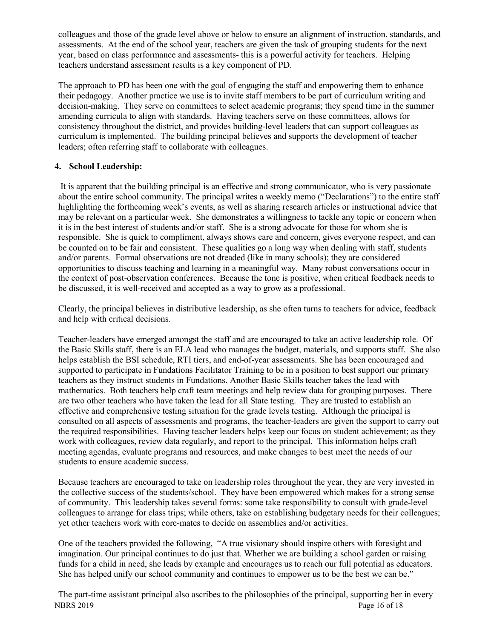colleagues and those of the grade level above or below to ensure an alignment of instruction, standards, and assessments. At the end of the school year, teachers are given the task of grouping students for the next year, based on class performance and assessments- this is a powerful activity for teachers. Helping teachers understand assessment results is a key component of PD.

The approach to PD has been one with the goal of engaging the staff and empowering them to enhance their pedagogy. Another practice we use is to invite staff members to be part of curriculum writing and decision-making. They serve on committees to select academic programs; they spend time in the summer amending curricula to align with standards. Having teachers serve on these committees, allows for consistency throughout the district, and provides building-level leaders that can support colleagues as curriculum is implemented. The building principal believes and supports the development of teacher leaders; often referring staff to collaborate with colleagues.

# **4. School Leadership:**

It is apparent that the building principal is an effective and strong communicator, who is very passionate about the entire school community. The principal writes a weekly memo ("Declarations") to the entire staff highlighting the forthcoming week's events, as well as sharing research articles or instructional advice that may be relevant on a particular week. She demonstrates a willingness to tackle any topic or concern when it is in the best interest of students and/or staff. She is a strong advocate for those for whom she is responsible. She is quick to compliment, always shows care and concern, gives everyone respect, and can be counted on to be fair and consistent. These qualities go a long way when dealing with staff, students and/or parents. Formal observations are not dreaded (like in many schools); they are considered opportunities to discuss teaching and learning in a meaningful way. Many robust conversations occur in the context of post-observation conferences. Because the tone is positive, when critical feedback needs to be discussed, it is well-received and accepted as a way to grow as a professional.

Clearly, the principal believes in distributive leadership, as she often turns to teachers for advice, feedback and help with critical decisions.

Teacher-leaders have emerged amongst the staff and are encouraged to take an active leadership role. Of the Basic Skills staff, there is an ELA lead who manages the budget, materials, and supports staff. She also helps establish the BSI schedule, RTI tiers, and end-of-year assessments. She has been encouraged and supported to participate in Fundations Facilitator Training to be in a position to best support our primary teachers as they instruct students in Fundations. Another Basic Skills teacher takes the lead with mathematics. Both teachers help craft team meetings and help review data for grouping purposes. There are two other teachers who have taken the lead for all State testing. They are trusted to establish an effective and comprehensive testing situation for the grade levels testing. Although the principal is consulted on all aspects of assessments and programs, the teacher-leaders are given the support to carry out the required responsibilities. Having teacher leaders helps keep our focus on student achievement; as they work with colleagues, review data regularly, and report to the principal. This information helps craft meeting agendas, evaluate programs and resources, and make changes to best meet the needs of our students to ensure academic success.

Because teachers are encouraged to take on leadership roles throughout the year, they are very invested in the collective success of the students/school. They have been empowered which makes for a strong sense of community. This leadership takes several forms: some take responsibility to consult with grade-level colleagues to arrange for class trips; while others, take on establishing budgetary needs for their colleagues; yet other teachers work with core-mates to decide on assemblies and/or activities.

One of the teachers provided the following, "A true visionary should inspire others with foresight and imagination. Our principal continues to do just that. Whether we are building a school garden or raising funds for a child in need, she leads by example and encourages us to reach our full potential as educators. She has helped unify our school community and continues to empower us to be the best we can be."

NBRS 2019 Page 16 of 18 The part-time assistant principal also ascribes to the philosophies of the principal, supporting her in every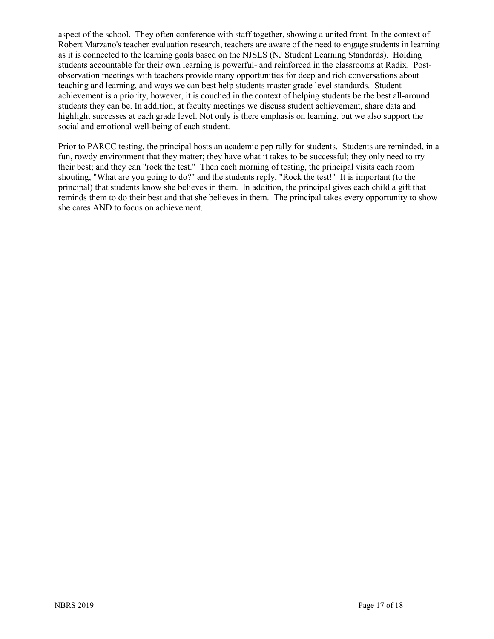aspect of the school. They often conference with staff together, showing a united front. In the context of Robert Marzano's teacher evaluation research, teachers are aware of the need to engage students in learning as it is connected to the learning goals based on the NJSLS (NJ Student Learning Standards). Holding students accountable for their own learning is powerful- and reinforced in the classrooms at Radix. Postobservation meetings with teachers provide many opportunities for deep and rich conversations about teaching and learning, and ways we can best help students master grade level standards. Student achievement is a priority, however, it is couched in the context of helping students be the best all-around students they can be. In addition, at faculty meetings we discuss student achievement, share data and highlight successes at each grade level. Not only is there emphasis on learning, but we also support the social and emotional well-being of each student.

Prior to PARCC testing, the principal hosts an academic pep rally for students. Students are reminded, in a fun, rowdy environment that they matter; they have what it takes to be successful; they only need to try their best; and they can "rock the test." Then each morning of testing, the principal visits each room shouting, "What are you going to do?" and the students reply, "Rock the test!" It is important (to the principal) that students know she believes in them. In addition, the principal gives each child a gift that reminds them to do their best and that she believes in them. The principal takes every opportunity to show she cares AND to focus on achievement.